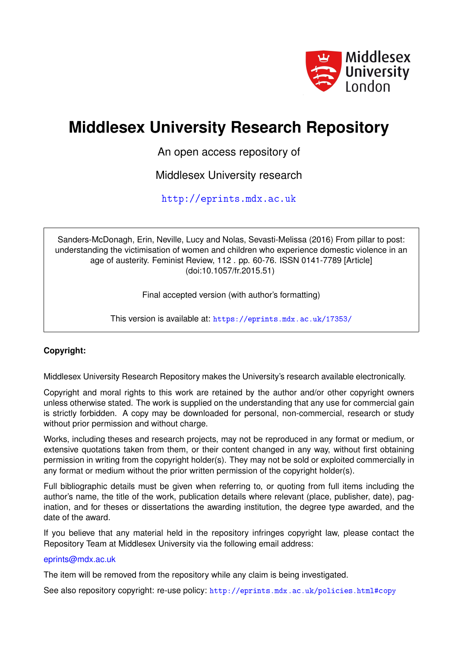

# **Middlesex University Research Repository**

An open access repository of

Middlesex University research

<http://eprints.mdx.ac.uk>

Sanders-McDonagh, Erin, Neville, Lucy and Nolas, Sevasti-Melissa (2016) From pillar to post: understanding the victimisation of women and children who experience domestic violence in an age of austerity. Feminist Review, 112 . pp. 60-76. ISSN 0141-7789 [Article] (doi:10.1057/fr.2015.51)

Final accepted version (with author's formatting)

This version is available at: <https://eprints.mdx.ac.uk/17353/>

## **Copyright:**

Middlesex University Research Repository makes the University's research available electronically.

Copyright and moral rights to this work are retained by the author and/or other copyright owners unless otherwise stated. The work is supplied on the understanding that any use for commercial gain is strictly forbidden. A copy may be downloaded for personal, non-commercial, research or study without prior permission and without charge.

Works, including theses and research projects, may not be reproduced in any format or medium, or extensive quotations taken from them, or their content changed in any way, without first obtaining permission in writing from the copyright holder(s). They may not be sold or exploited commercially in any format or medium without the prior written permission of the copyright holder(s).

Full bibliographic details must be given when referring to, or quoting from full items including the author's name, the title of the work, publication details where relevant (place, publisher, date), pagination, and for theses or dissertations the awarding institution, the degree type awarded, and the date of the award.

If you believe that any material held in the repository infringes copyright law, please contact the Repository Team at Middlesex University via the following email address:

#### [eprints@mdx.ac.uk](mailto:eprints@mdx.ac.uk)

The item will be removed from the repository while any claim is being investigated.

See also repository copyright: re-use policy: <http://eprints.mdx.ac.uk/policies.html#copy>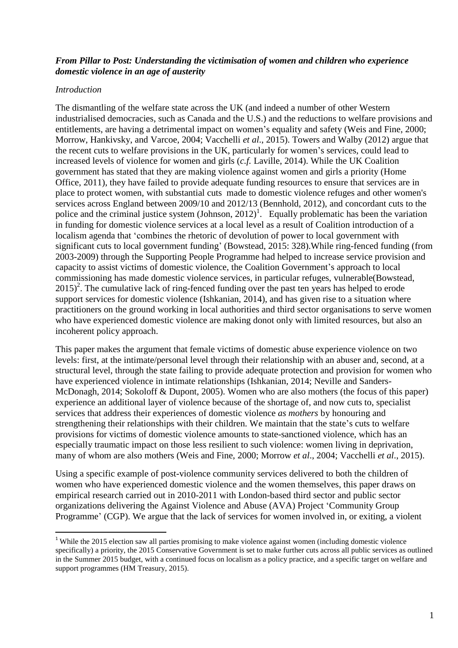## *From Pillar to Post: Understanding the victimisation of women and children who experience domestic violence in an age of austerity*

#### *Introduction*

 $\overline{a}$ 

The dismantling of the welfare state across the UK (and indeed a number of other Western industrialised democracies, such as Canada and the U.S.) and the reductions to welfare provisions and entitlements, are having a detrimental impact on women's equality and safety (Weis and Fine, 2000; Morrow, Hankivsky, and Varcoe, 2004; Vacchelli *et al*., 2015). Towers and Walby (2012) argue that the recent cuts to welfare provisions in the UK, particularly for women's services, could lead to increased levels of violence for women and girls (*c.f.* Laville, 2014). While the UK Coalition government has stated that they are making violence against women and girls a priority (Home Office, 2011), they have failed to provide adequate funding resources to ensure that services are in place to protect women, with substantial cuts made to domestic violence refuges and other women's services across England between 2009/10 and 2012/13 (Bennhold, 2012), and concordant cuts to the police and the criminal justice system (Johnson, 2012)<sup>1</sup>. Equally problematic has been the variation in funding for domestic violence services at a local level as a result of Coalition introduction of a localism agenda that 'combines the rhetoric of devolution of power to local government with significant cuts to local government funding' (Bowstead, 2015: 328).While ring-fenced funding (from 2003-2009) through the Supporting People Programme had helped to increase service provision and capacity to assist victims of domestic violence, the Coalition Government's approach to local commissioning has made domestic violence services, in particular refuges, vulnerable(Bowstead,  $2015$ <sup>2</sup>. The cumulative lack of ring-fenced funding over the past ten years has helped to erode support services for domestic violence (Ishkanian, 2014), and has given rise to a situation where practitioners on the ground working in local authorities and third sector organisations to serve women who have experienced domestic violence are making donot only with limited resources, but also an incoherent policy approach.

This paper makes the argument that female victims of domestic abuse experience violence on two levels: first, at the intimate/personal level through their relationship with an abuser and, second, at a structural level, through the state failing to provide adequate protection and provision for women who have experienced violence in intimate relationships (Ishkanian, 2014; Neville and Sanders-McDonagh, 2014; Sokoloff & Dupont, 2005). Women who are also mothers (the focus of this paper) experience an additional layer of violence because of the shortage of, and now cuts to, specialist services that address their experiences of domestic violence *as mothers* by honouring and strengthening their relationships with their children. We maintain that the state's cuts to welfare provisions for victims of domestic violence amounts to state-sanctioned violence, which has an especially traumatic impact on those less resilient to such violence: women living in deprivation, many of whom are also mothers (Weis and Fine, 2000; Morrow *et al*., 2004; Vacchelli *et al*., 2015).

Using a specific example of post-violence community services delivered to both the children of women who have experienced domestic violence and the women themselves, this paper draws on empirical research carried out in 2010-2011 with London-based third sector and public sector organizations delivering the Against Violence and Abuse (AVA) Project 'Community Group Programme' (CGP). We argue that the lack of services for women involved in, or exiting, a violent

<sup>&</sup>lt;sup>1</sup> While the 2015 election saw all parties promising to make violence against women (including domestic violence specifically) a priority, the 2015 Conservative Government is set to make further cuts across all public services as outlined in the Summer 2015 budget, with a continued focus on localism as a policy practice, and a specific target on welfare and support programmes (HM Treasury, 2015).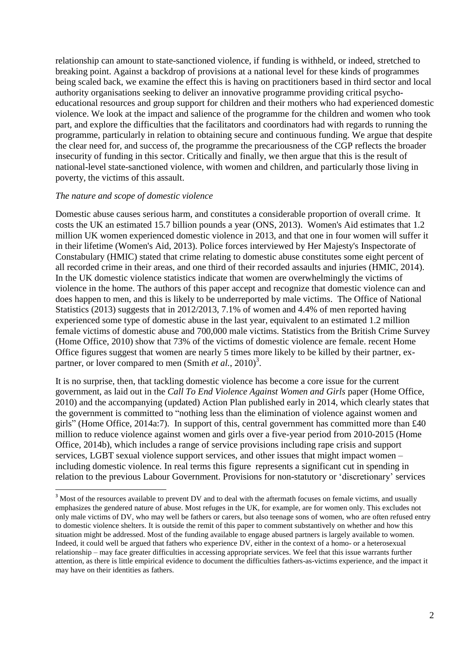relationship can amount to state-sanctioned violence, if funding is withheld, or indeed, stretched to breaking point. Against a backdrop of provisions at a national level for these kinds of programmes being scaled back, we examine the effect this is having on practitioners based in third sector and local authority organisations seeking to deliver an innovative programme providing critical psychoeducational resources and group support for children and their mothers who had experienced domestic violence. We look at the impact and salience of the programme for the children and women who took part, and explore the difficulties that the facilitators and coordinators had with regards to running the programme, particularly in relation to obtaining secure and continuous funding. We argue that despite the clear need for, and success of, the programme the precariousness of the CGP reflects the broader insecurity of funding in this sector. Critically and finally, we then argue that this is the result of national-level state-sanctioned violence, with women and children, and particularly those living in poverty, the victims of this assault.

#### *The nature and scope of domestic violence*

 $\overline{a}$ 

Domestic abuse causes serious harm, and constitutes a considerable proportion of overall crime. It costs the UK an estimated 15.7 billion pounds a year (ONS, 2013). Women's Aid estimates that 1.2 million UK women experienced domestic violence in 2013, and that one in four women will suffer it in their lifetime (Women's Aid, 2013). Police forces interviewed by Her Majesty's Inspectorate of Constabulary (HMIC) stated that crime relating to domestic abuse constitutes some eight percent of all recorded crime in their areas, and one third of their recorded assaults and injuries (HMIC, 2014). In the UK domestic violence statistics indicate that women are overwhelmingly the victims of violence in the home. The authors of this paper accept and recognize that domestic violence can and does happen to men, and this is likely to be underreported by male victims. The Office of National Statistics (2013) suggests that in 2012/2013, 7.1% of women and 4.4% of men reported having experienced some type of domestic abuse in the last year, equivalent to an estimated 1.2 million female victims of domestic abuse and 700,000 male victims. Statistics from the British Crime Survey (Home Office, 2010) show that 73% of the victims of domestic violence are female. recent Home Office figures suggest that women are nearly 5 times more likely to be killed by their partner, expartner, or lover compared to men (Smith *et al.*, 2010)<sup>3</sup>.

It is no surprise, then, that tackling domestic violence has become a core issue for the current government, as laid out in the *Call To End Violence Against Women and Girls* paper (Home Office, 2010) and the accompanying (updated) Action Plan published early in 2014, which clearly states that the government is committed to "nothing less than the elimination of violence against women and girls" (Home Office, 2014a:7). In support of this, central government has committed more than £40 million to reduce violence against women and girls over a five-year period from 2010-2015 (Home Office, 2014b), which includes a range of service provisions including rape crisis and support services, LGBT sexual violence support services, and other issues that might impact women – including domestic violence. In real terms this figure represents a significant cut in spending in relation to the previous Labour Government. Provisions for non-statutory or 'discretionary' services

<sup>&</sup>lt;sup>3</sup> Most of the resources available to prevent DV and to deal with the aftermath focuses on female victims, and usually emphasizes the gendered nature of abuse. Most refuges in the UK, for example, are for women only. This excludes not only male victims of DV, who may well be fathers or carers, but also teenage sons of women, who are often refused entry to domestic violence shelters. It is outside the remit of this paper to comment substantively on whether and how this situation might be addressed. Most of the funding available to engage abused partners is largely available to women. Indeed, it could well be argued that fathers who experience DV, either in the context of a homo- or a heterosexual relationship – may face greater difficulties in accessing appropriate services. We feel that this issue warrants further attention, as there is little empirical evidence to document the difficulties fathers-as-victims experience, and the impact it may have on their identities as fathers.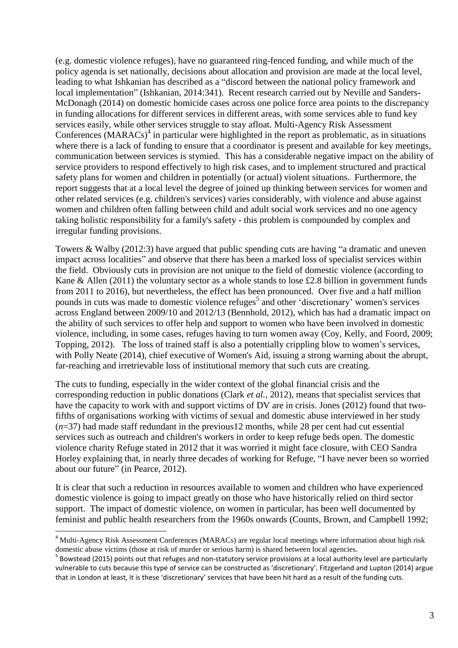(e.g. domestic violence refuges), have no guaranteed ring-fenced funding, and while much of the policy agenda is set nationally, decisions about allocation and provision are made at the local level, leading to what Ishkanian has described as a "discord between the national policy framework and local implementation" (Ishkanian, 2014:341). Recent research carried out by Neville and Sanders-McDonagh (2014) on domestic homicide cases across one police force area points to the discrepancy in funding allocations for different services in different areas, with some services able to fund key services easily, while other services struggle to stay afloat. Multi-Agency Risk Assessment Conferences (MARACs) $<sup>4</sup>$  in particular were highlighted in the report as problematic, as in situations</sup> where there is a lack of funding to ensure that a coordinator is present and available for key meetings, communication between services is stymied. This has a considerable negative impact on the ability of service providers to respond effectively to high risk cases, and to implement structured and practical safety plans for women and children in potentially (or actual) violent situations. Furthermore, the report suggests that at a local level the degree of joined up thinking between services for women and other related services (e.g. children's services) varies considerably, with violence and abuse against women and children often falling between child and adult social work services and no one agency taking holistic responsibility for a family's safety - this problem is compounded by complex and irregular funding provisions.

Towers & Walby (2012:3) have argued that public spending cuts are having "a dramatic and uneven impact across localities" and observe that there has been a marked loss of specialist services within the field. Obviously cuts in provision are not unique to the field of domestic violence (according to Kane & Allen (2011) the voluntary sector as a whole stands to lose £2.8 billion in government funds from 2011 to 2016), but nevertheless, the effect has been pronounced. Over five and a half million pounds in cuts was made to domestic violence refuges<sup>5</sup> and other 'discretionary' women's services across England between 2009/10 and 2012/13 (Bennhold, 2012), which has had a dramatic impact on the ability of such services to offer help and support to women who have been involved in domestic violence, including, in some cases, refuges having to turn women away (Coy, Kelly, and Foord, 2009; Topping, 2012). The loss of trained staff is also a potentially crippling blow to women's services, with Polly Neate (2014), chief executive of Women's Aid, issuing a strong warning about the abrupt, far-reaching and irretrievable loss of institutional memory that such cuts are creating.

The cuts to funding, especially in the wider context of the global financial crisis and the corresponding reduction in public donations (Clark *et al.,* 2012), means that specialist services that have the capacity to work with and support victims of DV are in crisis. Jones (2012) found that twofifths of organisations working with victims of sexual and domestic abuse interviewed in her study (*n*=37) had made staff redundant in the previous12 months, while 28 per cent had cut essential services such as outreach and children's workers in order to keep refuge beds open. The domestic violence charity Refuge stated in 2012 that it was worried it might face closure, with CEO Sandra Horley explaining that, in nearly three decades of working for Refuge, "I have never been so worried about our future" (in Pearce, 2012).

It is clear that such a reduction in resources available to women and children who have experienced domestic violence is going to impact greatly on those who have historically relied on third sector support. The impact of domestic violence, on women in particular, has been well documented by feminist and public health researchers from the 1960s onwards (Counts, Brown, and Campbell 1992;

 $\overline{a}$ 

<sup>&</sup>lt;sup>4</sup> Multi-Agency Risk Assessment Conferences (MARACs) are regular local meetings where information about high risk domestic abuse victims (those at risk of murder or serious harm) is shared between local agencies.

<sup>&</sup>lt;sup>5</sup> Bowstead (2015) points out that refuges and non-statutory service provisions at a local authority level are particularly vulnerable to cuts because this type of service can be constructed as 'discretionary'. Fitzgerland and Lupton (2014) argue that in London at least, it is these 'discretionary' services that have been hit hard as a result of the funding cuts.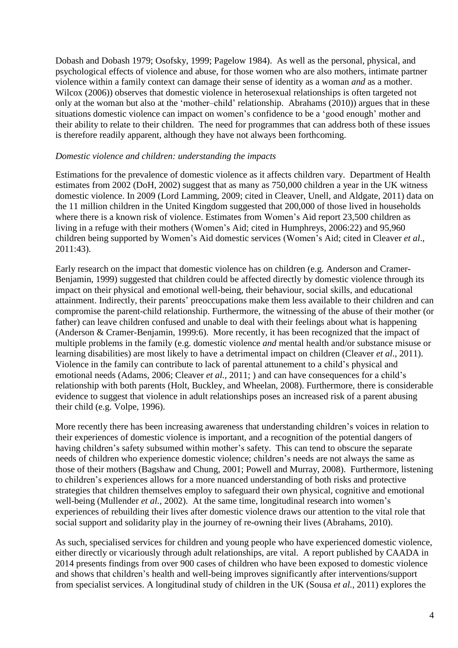Dobash and Dobash 1979; Osofsky, 1999; Pagelow 1984). As well as the personal, physical, and psychological effects of violence and abuse, for those women who are also mothers, intimate partner violence within a family context can damage their sense of identity as a woman *and* as a mother. Wilcox (2006)) observes that domestic violence in heterosexual relationships is often targeted not only at the woman but also at the 'mother–child' relationship. Abrahams (2010)) argues that in these situations domestic violence can impact on women's confidence to be a 'good enough' mother and their ability to relate to their children. The need for programmes that can address both of these issues is therefore readily apparent, although they have not always been forthcoming.

### *Domestic violence and children: understanding the impacts*

Estimations for the prevalence of domestic violence as it affects children vary. Department of Health estimates from 2002 (DoH, 2002) suggest that as many as 750,000 children a year in the UK witness domestic violence. In 2009 (Lord Lamming, 2009; cited in Cleaver, Unell, and Aldgate, 2011) data on the 11 million children in the United Kingdom suggested that 200,000 of those lived in households where there is a known risk of violence. Estimates from Women's Aid report 23,500 children as living in a refuge with their mothers (Women's Aid; cited in Humphreys, 2006:22) and 95,960 children being supported by Women's Aid domestic services (Women's Aid; cited in Cleaver *et al*., 2011:43).

Early research on the impact that domestic violence has on children (e.g. Anderson and Cramer-Benjamin, 1999) suggested that children could be affected directly by domestic violence through its impact on their physical and emotional well-being, their behaviour, social skills, and educational attainment. Indirectly, their parents' preoccupations make them less available to their children and can compromise the parent-child relationship. Furthermore, the witnessing of the abuse of their mother (or father) can leave children confused and unable to deal with their feelings about what is happening (Anderson & Cramer-Benjamin, 1999:6). More recently, it has been recognized that the impact of multiple problems in the family (e.g. domestic violence *and* mental health and/or substance misuse or learning disabilities) are most likely to have a detrimental impact on children (Cleaver *et al*., 2011). Violence in the family can contribute to lack of parental attunement to a child's physical and emotional needs (Adams, 2006; Cleaver *et al.,* 2011; ) and can have consequences for a child's relationship with both parents (Holt, Buckley, and Wheelan, 2008). Furthermore, there is considerable evidence to suggest that violence in adult relationships poses an increased risk of a parent abusing their child (e.g. Volpe, 1996).

More recently there has been increasing awareness that understanding children's voices in relation to their experiences of domestic violence is important, and a recognition of the potential dangers of having children's safety subsumed within mother's safety. This can tend to obscure the separate needs of children who experience domestic violence; children's needs are not always the same as those of their mothers (Bagshaw and Chung, 2001; Powell and Murray, 2008). Furthermore, listening to children's experiences allows for a more nuanced understanding of both risks and protective strategies that children themselves employ to safeguard their own physical, cognitive and emotional well-being (Mullender *et al.,* 2002). At the same time, longitudinal research into women's experiences of rebuilding their lives after domestic violence draws our attention to the vital role that social support and solidarity play in the journey of re-owning their lives (Abrahams, 2010).

As such, specialised services for children and young people who have experienced domestic violence, either directly or vicariously through adult relationships, are vital. A report published by CAADA in 2014 presents findings from over 900 cases of children who have been exposed to domestic violence and shows that children's health and well-being improves significantly after interventions/support from specialist services. A longitudinal study of children in the UK (Sousa *et al.,* 2011) explores the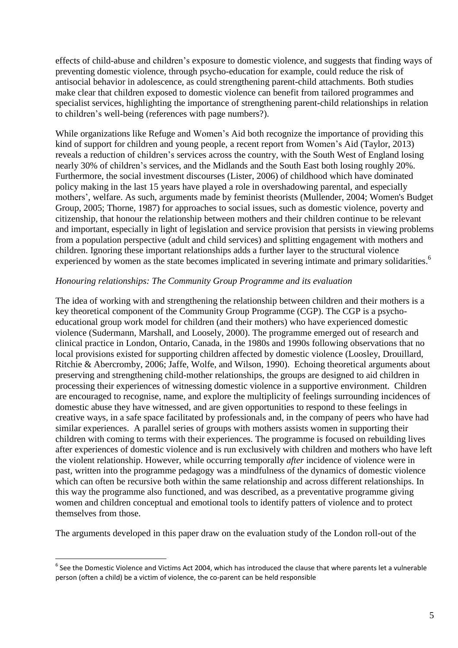effects of child-abuse and children's exposure to domestic violence, and suggests that finding ways of preventing domestic violence, through psycho-education for example, could reduce the risk of antisocial behavior in adolescence, as could strengthening parent-child attachments. Both studies make clear that children exposed to domestic violence can benefit from tailored programmes and specialist services, highlighting the importance of strengthening parent-child relationships in relation to children's well-being (references with page numbers?).

While organizations like Refuge and Women's Aid both recognize the importance of providing this kind of support for children and young people, a recent report from Women's Aid (Taylor, 2013) reveals a reduction of children's services across the country, with the South West of England losing nearly 30% of children's services, and the Midlands and the South East both losing roughly 20%. Furthermore, the social investment discourses (Lister, 2006) of childhood which have dominated policy making in the last 15 years have played a role in overshadowing parental, and especially mothers', welfare. As such, arguments made by feminist theorists (Mullender, 2004; Women's Budget Group, 2005; Thorne, 1987) for approaches to social issues, such as domestic violence, poverty and citizenship, that honour the relationship between mothers and their children continue to be relevant and important, especially in light of legislation and service provision that persists in viewing problems from a population perspective (adult and child services) and splitting engagement with mothers and children. Ignoring these important relationships adds a further layer to the structural violence experienced by women as the state becomes implicated in severing intimate and primary solidarities.<sup>6</sup>

## *Honouring relationships: The Community Group Programme and its evaluation*

The idea of working with and strengthening the relationship between children and their mothers is a key theoretical component of the Community Group Programme (CGP). The CGP is a psychoeducational group work model for children (and their mothers) who have experienced domestic violence (Sudermann, Marshall, and Loosely, 2000). The programme emerged out of research and clinical practice in London, Ontario, Canada, in the 1980s and 1990s following observations that no local provisions existed for supporting children affected by domestic violence (Loosley, Drouillard, Ritchie & Abercromby, 2006; Jaffe*,* Wolfe, and Wilson, 1990). Echoing theoretical arguments about preserving and strengthening child-mother relationships, the groups are designed to aid children in processing their experiences of witnessing domestic violence in a supportive environment. Children are encouraged to recognise, name, and explore the multiplicity of feelings surrounding incidences of domestic abuse they have witnessed, and are given opportunities to respond to these feelings in creative ways, in a safe space facilitated by professionals and, in the company of peers who have had similar experiences. A parallel series of groups with mothers assists women in supporting their children with coming to terms with their experiences. The programme is focused on rebuilding lives after experiences of domestic violence and is run exclusively with children and mothers who have left the violent relationship. However, while occurring temporally *after* incidence of violence were in past, written into the programme pedagogy was a mindfulness of the dynamics of domestic violence which can often be recursive both within the same relationship and across different relationships. In this way the programme also functioned, and was described, as a preventative programme giving women and children conceptual and emotional tools to identify patters of violence and to protect themselves from those.

The arguments developed in this paper draw on the evaluation study of the London roll-out of the

 $\overline{a}$ 

 $^6$  See the Domestic Violence and Victims Act 2004, which has introduced the clause that where parents let a vulnerable person (often a child) be a victim of violence, the co-parent can be held responsible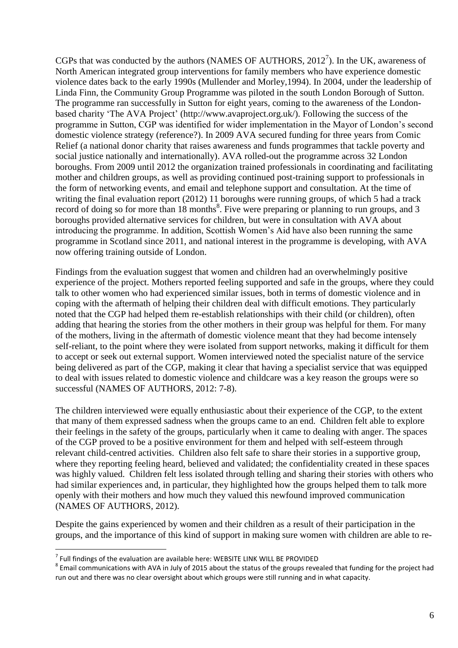CGPs that was conducted by the authors (NAMES OF AUTHORS, 2012<sup>7</sup>). In the UK, awareness of North American integrated group interventions for family members who have experience domestic violence dates back to the early 1990s (Mullender and Morley,1994). In 2004, under the leadership of Linda Finn, the Community Group Programme was piloted in the south London Borough of Sutton. The programme ran successfully in Sutton for eight years, coming to the awareness of the Londonbased charity 'The AVA Project' (http://www.avaproject.org.uk/). Following the success of the programme in Sutton, CGP was identified for wider implementation in the Mayor of London's second domestic violence strategy (reference?). In 2009 AVA secured funding for three years from Comic Relief (a national donor charity that raises awareness and funds programmes that tackle poverty and social justice nationally and internationally). AVA rolled-out the programme across 32 London boroughs. From 2009 until 2012 the organization trained professionals in coordinating and facilitating mother and children groups, as well as providing continued post-training support to professionals in the form of networking events, and email and telephone support and consultation. At the time of writing the final evaluation report (2012) 11 boroughs were running groups, of which 5 had a track record of doing so for more than 18 months<sup>8</sup>. Five were preparing or planning to run groups, and 3 boroughs provided alternative services for children, but were in consultation with AVA about introducing the programme. In addition, Scottish Women's Aid have also been running the same programme in Scotland since 2011, and national interest in the programme is developing, with AVA now offering training outside of London.

Findings from the evaluation suggest that women and children had an overwhelmingly positive experience of the project. Mothers reported feeling supported and safe in the groups, where they could talk to other women who had experienced similar issues, both in terms of domestic violence and in coping with the aftermath of helping their children deal with difficult emotions. They particularly noted that the CGP had helped them re-establish relationships with their child (or children), often adding that hearing the stories from the other mothers in their group was helpful for them. For many of the mothers, living in the aftermath of domestic violence meant that they had become intensely self-reliant, to the point where they were isolated from support networks, making it difficult for them to accept or seek out external support. Women interviewed noted the specialist nature of the service being delivered as part of the CGP, making it clear that having a specialist service that was equipped to deal with issues related to domestic violence and childcare was a key reason the groups were so successful (NAMES OF AUTHORS, 2012: 7-8).

The children interviewed were equally enthusiastic about their experience of the CGP, to the extent that many of them expressed sadness when the groups came to an end. Children felt able to explore their feelings in the safety of the groups, particularly when it came to dealing with anger. The spaces of the CGP proved to be a positive environment for them and helped with self-esteem through relevant child-centred activities. Children also felt safe to share their stories in a supportive group, where they reporting feeling heard, believed and validated; the confidentiality created in these spaces was highly valued. Children felt less isolated through telling and sharing their stories with others who had similar experiences and, in particular, they highlighted how the groups helped them to talk more openly with their mothers and how much they valued this newfound improved communication (NAMES OF AUTHORS, 2012).

Despite the gains experienced by women and their children as a result of their participation in the groups, and the importance of this kind of support in making sure women with children are able to re-

 $\overline{a}$ 

 $^7$  Full findings of the evaluation are available here: WEBSITE LINK WILL BE PROVIDED

 $^8$  Email communications with AVA in July of 2015 about the status of the groups revealed that funding for the project had run out and there was no clear oversight about which groups were still running and in what capacity.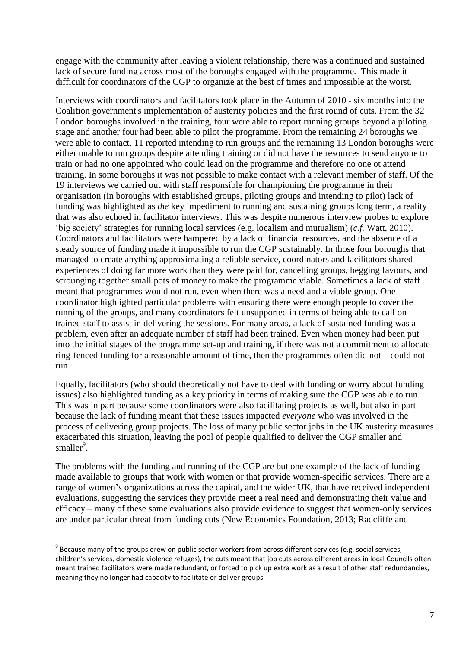engage with the community after leaving a violent relationship, there was a continued and sustained lack of secure funding across most of the boroughs engaged with the programme. This made it difficult for coordinators of the CGP to organize at the best of times and impossible at the worst.

Interviews with coordinators and facilitators took place in the Autumn of 2010 - six months into the Coalition government's implementation of austerity policies and the first round of cuts. From the 32 London boroughs involved in the training, four were able to report running groups beyond a piloting stage and another four had been able to pilot the programme. From the remaining 24 boroughs we were able to contact, 11 reported intending to run groups and the remaining 13 London boroughs were either unable to run groups despite attending training or did not have the resources to send anyone to train or had no one appointed who could lead on the programme and therefore no one ot attend training. In some boroughs it was not possible to make contact with a relevant member of staff. Of the 19 interviews we carried out with staff responsible for championing the programme in their organisation (in boroughs with established groups, piloting groups and intending to pilot) lack of funding was highlighted as *the* key impediment to running and sustaining groups long term, a reality that was also echoed in facilitator interviews. This was despite numerous interview probes to explore 'big society' strategies for running local services (e.g. localism and mutualism) (*c.f.* Watt, 2010). Coordinators and facilitators were hampered by a lack of financial resources, and the absence of a steady source of funding made it impossible to run the CGP sustainably. In those four boroughs that managed to create anything approximating a reliable service, coordinators and facilitators shared experiences of doing far more work than they were paid for, cancelling groups, begging favours, and scrounging together small pots of money to make the programme viable. Sometimes a lack of staff meant that programmes would not run, even when there was a need and a viable group. One coordinator highlighted particular problems with ensuring there were enough people to cover the running of the groups, and many coordinators felt unsupported in terms of being able to call on trained staff to assist in delivering the sessions. For many areas, a lack of sustained funding was a problem, even after an adequate number of staff had been trained. Even when money had been put into the initial stages of the programme set-up and training, if there was not a commitment to allocate ring-fenced funding for a reasonable amount of time, then the programmes often did not – could not run.

Equally, facilitators (who should theoretically not have to deal with funding or worry about funding issues) also highlighted funding as a key priority in terms of making sure the CGP was able to run. This was in part because some coordinators were also facilitating projects as well, but also in part because the lack of funding meant that these issues impacted *everyone* who was involved in the process of delivering group projects. The loss of many public sector jobs in the UK austerity measures exacerbated this situation, leaving the pool of people qualified to deliver the CGP smaller and smaller<sup>9</sup>.

The problems with the funding and running of the CGP are but one example of the lack of funding made available to groups that work with women or that provide women-specific services. There are a range of women's organizations across the capital, and the wider UK, that have received independent evaluations, suggesting the services they provide meet a real need and demonstrating their value and efficacy – many of these same evaluations also provide evidence to suggest that women-only services are under particular threat from funding cuts (New Economics Foundation, 2013; Radcliffe and

 9 Because many of the groups drew on public sector workers from across different services (e.g. social services, children's services, domestic violence refuges), the cuts meant that job cuts across different areas in local Councils often meant trained facilitators were made redundant, or forced to pick up extra work as a result of other staff redundancies, meaning they no longer had capacity to facilitate or deliver groups.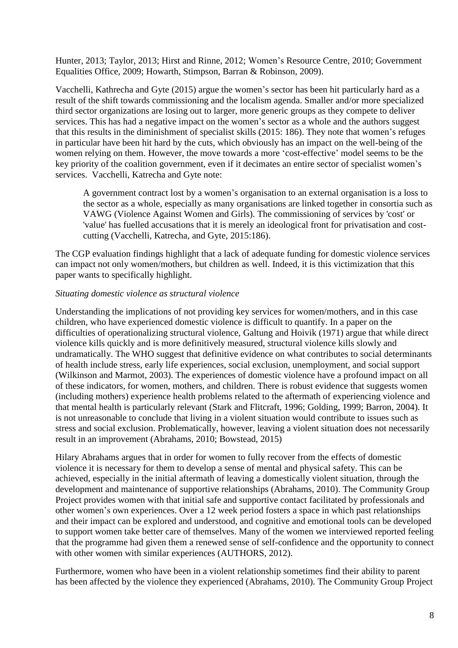Hunter, 2013; Taylor, 2013; Hirst and Rinne, 2012; Women's Resource Centre, 2010; Government Equalities Office, 2009; Howarth, Stimpson, Barran & Robinson, 2009).

Vacchelli, Kathrecha and Gyte (2015) argue the women's sector has been hit particularly hard as a result of the shift towards commissioning and the localism agenda. Smaller and/or more specialized third sector organizations are losing out to larger, more generic groups as they compete to deliver services. This has had a negative impact on the women's sector as a whole and the authors suggest that this results in the diminishment of specialist skills (2015: 186). They note that women's refuges in particular have been hit hard by the cuts, which obviously has an impact on the well-being of the women relying on them. However, the move towards a more 'cost-effective' model seems to be the key priority of the coalition government, even if it decimates an entire sector of specialist women's services. Vacchelli, Katrecha and Gyte note:

A government contract lost by a women's organisation to an external organisation is a loss to the sector as a whole, especially as many organisations are linked together in consortia such as VAWG (Violence Against Women and Girls). The commissioning of services by 'cost' or 'value' has fuelled accusations that it is merely an ideological front for privatisation and costcutting (Vacchelli, Katrecha, and Gyte, 2015:186).

The CGP evaluation findings highlight that a lack of adequate funding for domestic violence services can impact not only women/mothers, but children as well. Indeed, it is this victimization that this paper wants to specifically highlight.

## *Situating domestic violence as structural violence*

Understanding the implications of not providing key services for women/mothers, and in this case children, who have experienced domestic violence is difficult to quantify. In a paper on the difficulties of operationalizing structural violence, Galtung and Hoivik (1971) argue that while direct violence kills quickly and is more definitively measured, structural violence kills slowly and undramatically. The WHO suggest that definitive evidence on what contributes to social determinants of health include stress, early life experiences, social exclusion, unemployment, and social support (Wilkinson and Marmot, 2003). The experiences of domestic violence have a profound impact on all of these indicators, for women, mothers, and children. There is robust evidence that suggests women (including mothers) experience health problems related to the aftermath of experiencing violence and that mental health is particularly relevant (Stark and Flitcraft, 1996; Golding, 1999; Barron, 2004). It is not unreasonable to conclude that living in a violent situation would contribute to issues such as stress and social exclusion. Problematically, however, leaving a violent situation does not necessarily result in an improvement (Abrahams, 2010; Bowstead, 2015)

Hilary Abrahams argues that in order for women to fully recover from the effects of domestic violence it is necessary for them to develop a sense of mental and physical safety. This can be achieved, especially in the initial aftermath of leaving a domestically violent situation, through the development and maintenance of supportive relationships (Abrahams, 2010). The Community Group Project provides women with that initial safe and supportive contact facilitated by professionals and other women's own experiences. Over a 12 week period fosters a space in which past relationships and their impact can be explored and understood, and cognitive and emotional tools can be developed to support women take better care of themselves. Many of the women we interviewed reported feeling that the programme had given them a renewed sense of self-confidence and the opportunity to connect with other women with similar experiences (AUTHORS, 2012).

Furthermore, women who have been in a violent relationship sometimes find their ability to parent has been affected by the violence they experienced (Abrahams, 2010). The Community Group Project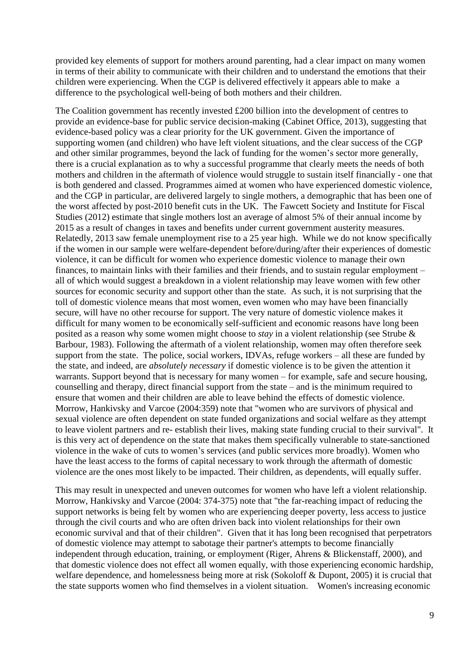provided key elements of support for mothers around parenting, had a clear impact on many women in terms of their ability to communicate with their children and to understand the emotions that their children were experiencing. When the CGP is delivered effectively it appears able to make a difference to the psychological well-being of both mothers and their children.

The Coalition government has recently invested £200 billion into the development of centres to provide an evidence-base for public service decision-making (Cabinet Office, 2013), suggesting that evidence-based policy was a clear priority for the UK government. Given the importance of supporting women (and children) who have left violent situations, and the clear success of the CGP and other similar programmes, beyond the lack of funding for the women's sector more generally, there is a crucial explanation as to why a successful programme that clearly meets the needs of both mothers and children in the aftermath of violence would struggle to sustain itself financially - one that is both gendered and classed. Programmes aimed at women who have experienced domestic violence, and the CGP in particular, are delivered largely to single mothers, a demographic that has been one of the worst affected by post-2010 benefit cuts in the UK. The Fawcett Society and Institute for Fiscal Studies (2012) estimate that single mothers lost an average of almost 5% of their annual income by 2015 as a result of changes in taxes and benefits under current government austerity measures. Relatedly, 2013 saw female unemployment rise to a 25 year high. While we do not know specifically if the women in our sample were welfare-dependent before/during/after their experiences of domestic violence, it can be difficult for women who experience domestic violence to manage their own finances, to maintain links with their families and their friends, and to sustain regular employment – all of which would suggest a breakdown in a violent relationship may leave women with few other sources for economic security and support other than the state. As such, it is not surprising that the toll of domestic violence means that most women, even women who may have been financially secure, will have no other recourse for support. The very nature of domestic violence makes it difficult for many women to be economically self-sufficient and economic reasons have long been posited as a reason why some women might choose to *stay* in a violent relationship (see Strube & Barbour, 1983). Following the aftermath of a violent relationship, women may often therefore seek support from the state. The police, social workers, IDVAs, refuge workers – all these are funded by the state, and indeed, are *absolutely necessary* if domestic violence is to be given the attention it warrants. Support beyond that is necessary for many women – for example, safe and secure housing, counselling and therapy, direct financial support from the state – and is the minimum required to ensure that women and their children are able to leave behind the effects of domestic violence. Morrow, Hankivsky and Varcoe (2004:359) note that "women who are survivors of physical and sexual violence are often dependent on state funded organizations and social welfare as they attempt to leave violent partners and re- establish their lives, making state funding crucial to their survival". It is this very act of dependence on the state that makes them specifically vulnerable to state-sanctioned violence in the wake of cuts to women's services (and public services more broadly). Women who have the least access to the forms of capital necessary to work through the aftermath of domestic violence are the ones most likely to be impacted. Their children, as dependents, will equally suffer.

This may result in unexpected and uneven outcomes for women who have left a violent relationship. Morrow, Hankivsky and Varcoe (2004: 374-375) note that "the far-reaching impact of reducing the support networks is being felt by women who are experiencing deeper poverty, less access to justice through the civil courts and who are often driven back into violent relationships for their own economic survival and that of their children". Given that it has long been recognised that perpetrators of domestic violence may attempt to sabotage their partner's attempts to become financially independent through education, training, or employment (Riger, Ahrens & Blickenstaff, 2000), and that domestic violence does not effect all women equally, with those experiencing economic hardship, welfare dependence, and homelessness being more at risk (Sokoloff & Dupont, 2005) it is crucial that the state supports women who find themselves in a violent situation. Women's increasing economic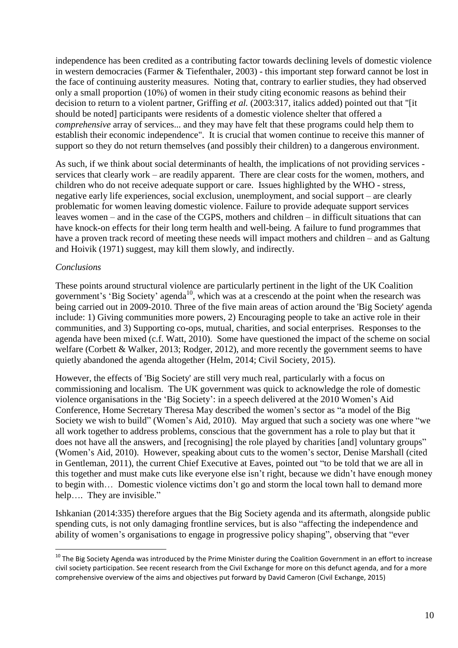independence has been credited as a contributing factor towards declining levels of domestic violence in western democracies (Farmer & Tiefenthaler, 2003) - this important step forward cannot be lost in the face of continuing austerity measures. Noting that, contrary to earlier studies, they had observed only a small proportion (10%) of women in their study citing economic reasons as behind their decision to return to a violent partner, Griffing *et al.* (2003:317, italics added) pointed out that "[it should be noted] participants were residents of a domestic violence shelter that offered a *comprehensive* array of services... and they may have felt that these programs could help them to establish their economic independence". It is crucial that women continue to receive this manner of support so they do not return themselves (and possibly their children) to a dangerous environment.

As such, if we think about social determinants of health, the implications of not providing services services that clearly work – are readily apparent. There are clear costs for the women, mothers, and children who do not receive adequate support or care. Issues highlighted by the WHO - stress, negative early life experiences, social exclusion, unemployment, and social support – are clearly problematic for women leaving domestic violence. Failure to provide adequate support services leaves women – and in the case of the CGPS, mothers and children – in difficult situations that can have knock-on effects for their long term health and well-being. A failure to fund programmes that have a proven track record of meeting these needs will impact mothers and children – and as Galtung and Hoivik (1971) suggest, may kill them slowly, and indirectly.

## *Conclusions*

 $\overline{a}$ 

These points around structural violence are particularly pertinent in the light of the UK Coalition government's 'Big Society' agenda<sup>10</sup>, which was at a crescendo at the point when the research was being carried out in 2009-2010. Three of the five main areas of action around the 'Big Society' agenda include: 1) Giving communities more powers, 2) Encouraging people to take an active role in their communities, and 3) Supporting co-ops, mutual, charities, and social enterprises. Responses to the agenda have been mixed (c.f. Watt, 2010). Some have questioned the impact of the scheme on social welfare (Corbett & Walker, 2013; Rodger, 2012), and more recently the government seems to have quietly abandoned the agenda altogether (Helm, 2014; Civil Society, 2015).

However, the effects of 'Big Society' are still very much real, particularly with a focus on commissioning and localism. The UK government was quick to acknowledge the role of domestic violence organisations in the 'Big Society': in a speech delivered at the 2010 Women's Aid Conference, Home Secretary Theresa May described the women's sector as "a model of the Big Society we wish to build" (Women's Aid, 2010). May argued that such a society was one where "we all work together to address problems, conscious that the government has a role to play but that it does not have all the answers, and [recognising] the role played by charities [and] voluntary groups" (Women's Aid, 2010). However, speaking about cuts to the women's sector, Denise Marshall (cited in Gentleman, 2011), the current Chief Executive at Eaves, pointed out "to be told that we are all in this together and must make cuts like everyone else isn't right, because we didn't have enough money to begin with… Domestic violence victims don't go and storm the local town hall to demand more help…. They are invisible."

Ishkanian (2014:335) therefore argues that the Big Society agenda and its aftermath, alongside public spending cuts, is not only damaging frontline services, but is also "affecting the independence and ability of women's organisations to engage in progressive policy shaping", observing that "ever

 $10$  The Big Society Agenda was introduced by the Prime Minister during the Coalition Government in an effort to increase civil society participation. See recent research from the Civil Exchange for more on this defunct agenda, and for a more comprehensive overview of the aims and objectives put forward by David Cameron (Civil Exchange, 2015)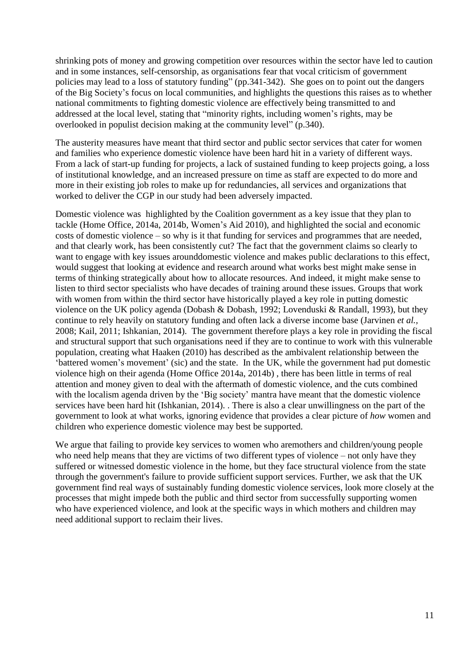shrinking pots of money and growing competition over resources within the sector have led to caution and in some instances, self-censorship, as organisations fear that vocal criticism of government policies may lead to a loss of statutory funding" (pp.341-342). She goes on to point out the dangers of the Big Society's focus on local communities, and highlights the questions this raises as to whether national commitments to fighting domestic violence are effectively being transmitted to and addressed at the local level, stating that "minority rights, including women's rights, may be overlooked in populist decision making at the community level" (p.340).

The austerity measures have meant that third sector and public sector services that cater for women and families who experience domestic violence have been hard hit in a variety of different ways. From a lack of start-up funding for projects, a lack of sustained funding to keep projects going, a loss of institutional knowledge, and an increased pressure on time as staff are expected to do more and more in their existing job roles to make up for redundancies, all services and organizations that worked to deliver the CGP in our study had been adversely impacted.

Domestic violence was highlighted by the Coalition government as a key issue that they plan to tackle (Home Office, 2014a, 2014b, Women's Aid 2010), and highlighted the social and economic costs of domestic violence – so why is it that funding for services and programmes that are needed, and that clearly work, has been consistently cut? The fact that the government claims so clearly to want to engage with key issues arounddomestic violence and makes public declarations to this effect, would suggest that looking at evidence and research around what works best might make sense in terms of thinking strategically about how to allocate resources. And indeed, it might make sense to listen to third sector specialists who have decades of training around these issues. Groups that work with women from within the third sector have historically played a key role in putting domestic violence on the UK policy agenda (Dobash & Dobash, 1992; Lovenduski & Randall, 1993), but they continue to rely heavily on statutory funding and often lack a diverse income base (Jarvinen *et al.,* 2008; Kail, 2011; Ishkanian, 2014). The government therefore plays a key role in providing the fiscal and structural support that such organisations need if they are to continue to work with this vulnerable population, creating what Haaken (2010) has described as the ambivalent relationship between the 'battered women's movement' (sic) and the state. In the UK, while the government had put domestic violence high on their agenda (Home Office 2014a, 2014b) , there has been little in terms of real attention and money given to deal with the aftermath of domestic violence, and the cuts combined with the localism agenda driven by the 'Big society' mantra have meant that the domestic violence services have been hard hit (Ishkanian, 2014). . There is also a clear unwillingness on the part of the government to look at what works, ignoring evidence that provides a clear picture of *how* women and children who experience domestic violence may best be supported.

We argue that failing to provide key services to women who aremothers and children/young people who need help means that they are victims of two different types of violence – not only have they suffered or witnessed domestic violence in the home, but they face structural violence from the state through the government's failure to provide sufficient support services. Further, we ask that the UK government find real ways of sustainably funding domestic violence services, look more closely at the processes that might impede both the public and third sector from successfully supporting women who have experienced violence, and look at the specific ways in which mothers and children may need additional support to reclaim their lives.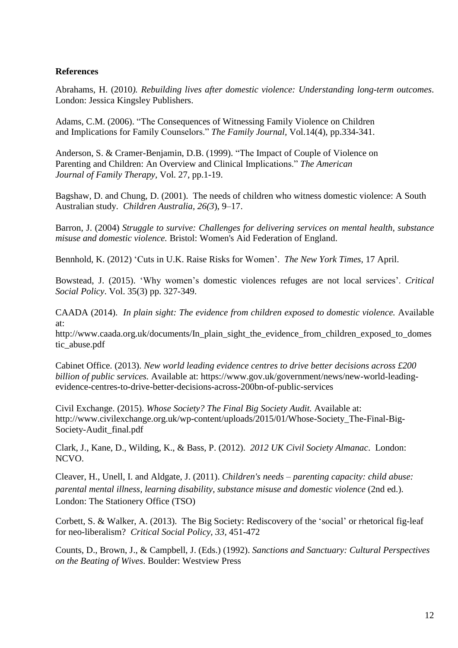## **References**

Abrahams, H. (2010*). Rebuilding lives after domestic violence: Understanding long-term outcomes*. London: Jessica Kingsley Publishers.

Adams, C.M. (2006). "The Consequences of Witnessing Family Violence on Children and Implications for Family Counselors." *The Family Journal,* Vol.14(4), pp.334-341.

Anderson, S. & Cramer-Benjamin, D.B. (1999). "The Impact of Couple of Violence on Parenting and Children: An Overview and Clinical Implications." *The American Journal of Family Therapy,* Vol. 27, pp.1-19.

Bagshaw, D. and Chung, D. (2001). The needs of children who witness domestic violence: A South Australian study. *Children Australia, 26(3*), 9–17.

Barron, J. (2004) *Struggle to survive: Challenges for delivering services on mental health, substance misuse and domestic violence.* Bristol: Women's Aid Federation of England.

Bennhold, K. (2012) 'Cuts in U.K. Raise Risks for Women'. *The New York Times,* 17 April.

Bowstead, J. (2015). 'Why women's domestic violences refuges are not local services'. *Critical Social Policy*. Vol. 35(3) pp. 327-349.

CAADA (2014). *In plain sight: The evidence from children exposed to domestic violence.* Available at:

http://www.caada.org.uk/documents/In plain sight the evidence from children exposed to domes tic\_abuse.pdf

Cabinet Office. (2013). *New world leading evidence centres to drive better decisions across £200 billion of public services.* Available at: https://www.gov.uk/government/news/new-world-leadingevidence-centres-to-drive-better-decisions-across-200bn-of-public-services

Civil Exchange. (2015). *Whose Society? The Final Big Society Audit.* Available at: http://www.civilexchange.org.uk/wp-content/uploads/2015/01/Whose-Society\_The-Final-Big-Society-Audit\_final.pdf

Clark, J., Kane, D., Wilding, K., & Bass, P. (2012). *2012 UK Civil Society Almanac*. London: NCVO.

Cleaver, H., Unell, I. and Aldgate, J. (2011). *Children's needs – parenting capacity: child abuse: parental mental illness, learning disability, substance misuse and domestic violence* (2nd ed.). London: The Stationery Office (TSO)

Corbett, S. & Walker, A. (2013). The Big Society: Rediscovery of the 'social' or rhetorical fig-leaf for neo-liberalism? *Critical Social Policy, 33,* 451-472

Counts, D., Brown, J., & Campbell, J. (Eds.) (1992). *Sanctions and Sanctuary: Cultural Perspectives on the Beating of Wives*. Boulder: Westview Press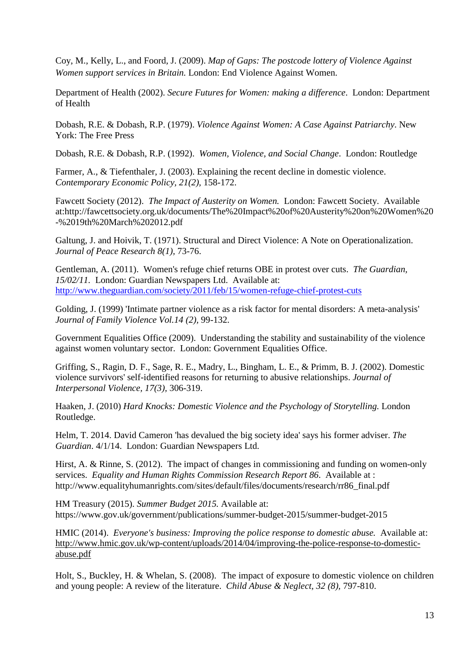Coy, M., Kelly, L., and Foord, J. (2009). *Map of Gaps: The postcode lottery of Violence Against Women support services in Britain.* London: End Violence Against Women.

Department of Health (2002). *Secure Futures for Women: making a difference*. London: Department of Health

Dobash, R.E. & Dobash, R.P. (1979). *Violence Against Women: A Case Against Patriarchy*. New York: The Free Press

Dobash, R.E. & Dobash, R.P. (1992). *Women, Violence, and Social Change*. London: Routledge

Farmer, A., & Tiefenthaler, J. (2003). Explaining the recent decline in domestic violence. *Contemporary Economic Policy, 21(2),* 158-172.

Fawcett Society (2012). *The Impact of Austerity on Women.* London: Fawcett Society. Available at:http://fawcettsociety.org.uk/documents/The%20Impact%20of%20Austerity%20on%20Women%20 -%2019th%20March%202012.pdf

Galtung, J. and Hoivik, T. (1971). Structural and Direct Violence: A Note on Operationalization. *Journal of Peace Research 8(1),* 73-76.

Gentleman, A. (2011). Women's refuge chief returns OBE in protest over cuts. *The Guardian, 15/02/11.* London: Guardian Newspapers Ltd. Available at: <http://www.theguardian.com/society/2011/feb/15/women-refuge-chief-protest-cuts>

Golding, J. (1999) 'Intimate partner violence as a risk factor for mental disorders: A meta-analysis' *Journal of Family Violence Vol.14 (2),* 99-132.

Government Equalities Office (2009). Understanding the stability and sustainability of the violence against women voluntary sector. London: Government Equalities Office.

Griffing, S., Ragin, D. F., Sage, R. E., Madry, L., Bingham, L. E., & Primm, B. J. (2002). Domestic violence survivors' self-identified reasons for returning to abusive relationships. *Journal of Interpersonal Violence, 17(3),* 306-319.

Haaken, J. (2010) *Hard Knocks: Domestic Violence and the Psychology of Storytelling.* London Routledge.

Helm, T. 2014. David Cameron 'has devalued the big society idea' says his former adviser. *The Guardian*. 4/1/14. London: Guardian Newspapers Ltd.

Hirst, A. & Rinne, S. (2012). The impact of changes in commissioning and funding on women-only services. *Equality and Human Rights Commission Research Report 86*. Available at : http://www.equalityhumanrights.com/sites/default/files/documents/research/rr86\_final.pdf

HM Treasury (2015). *Summer Budget 2015.* Available at: https://www.gov.uk/government/publications/summer-budget-2015/summer-budget-2015

HMIC (2014). *Everyone's business: Improving the police response to domestic abuse.* Available at: [http://www.hmic.gov.uk/wp-content/uploads/2014/04/improving-the-police-response-to-domestic](http://www.hmic.gov.uk/wp-content/uploads/2014/04/improving-the-police-response-to-domestic-abuse.pdf)[abuse.pdf](http://www.hmic.gov.uk/wp-content/uploads/2014/04/improving-the-police-response-to-domestic-abuse.pdf)

Holt, S., Buckley, H. & Whelan, S. (2008). The impact of exposure to domestic violence on children and young people: A review of the literature. *Child Abuse & Neglect, 32 (8),* 797-810.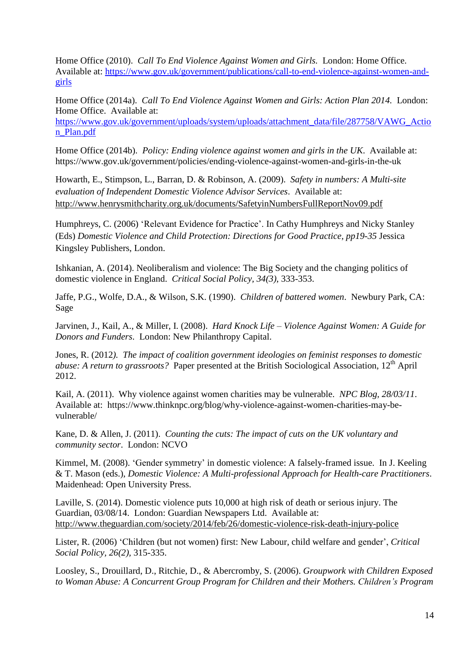Home Office (2010). *Call To End Violence Against Women and Girls.* London: Home Office. Available at: [https://www.gov.uk/government/publications/call-to-end-violence-against-women-and](https://www.gov.uk/government/publications/call-to-end-violence-against-women-and-girls)[girls](https://www.gov.uk/government/publications/call-to-end-violence-against-women-and-girls)

Home Office (2014a). *Call To End Violence Against Women and Girls: Action Plan 2014.* London: Home Office. Available at:

[https://www.gov.uk/government/uploads/system/uploads/attachment\\_data/file/287758/VAWG\\_Actio](https://www.gov.uk/government/uploads/system/uploads/attachment_data/file/287758/VAWG_Action_Plan.pdf) [n\\_Plan.pdf](https://www.gov.uk/government/uploads/system/uploads/attachment_data/file/287758/VAWG_Action_Plan.pdf)

Home Office (2014b). *Policy: Ending violence against women and girls in the UK*. Available at: https://www.gov.uk/government/policies/ending-violence-against-women-and-girls-in-the-uk

Howarth, E., Stimpson, L., Barran, D. & Robinson, A. (2009). *Safety in numbers: A Multi-site evaluation of Independent Domestic Violence Advisor Services*. Available at: <http://www.henrysmithcharity.org.uk/documents/SafetyinNumbersFullReportNov09.pdf>

Humphreys, C. (2006) 'Relevant Evidence for Practice'. In Cathy Humphreys and Nicky Stanley (Eds) *Domestic Violence and Child Protection: Directions for Good Practice, pp19-35* Jessica Kingsley Publishers, London.

Ishkanian, A. (2014). Neoliberalism and violence: The Big Society and the changing politics of domestic violence in England. *Critical Social Policy, 34(3)*, 333-353.

Jaffe, P.G., Wolfe, D.A., & Wilson, S.K. (1990). *Children of battered women*. Newbury Park, CA: Sage

Jarvinen, J., Kail, A., & Miller, I. (2008). *Hard Knock Life – Violence Against Women: A Guide for Donors and Funders*. London: New Philanthropy Capital.

Jones, R. (2012*). The impact of coalition government ideologies on feminist responses to domestic abuse: A return to grassroots?* Paper presented at the British Sociological Association, 12th April 2012.

Kail, A. (2011). Why violence against women charities may be vulnerable. *NPC Blog, 28/03/11*. Available at: https://www.thinknpc.org/blog/why-violence-against-women-charities-may-bevulnerable/

Kane, D. & Allen, J. (2011). *Counting the cuts: The impact of cuts on the UK voluntary and community sector*. London: NCVO

Kimmel, M. (2008). 'Gender symmetry' in domestic violence: A falsely-framed issue. In J. Keeling & T. Mason (eds.), *Domestic Violence: A Multi-professional Approach for Health-care Practitioners*. Maidenhead: Open University Press.

Laville, S. (2014). Domestic violence puts 10,000 at high risk of death or serious injury. The Guardian, 03/08/14. London: Guardian Newspapers Ltd. Available at: <http://www.theguardian.com/society/2014/feb/26/domestic-violence-risk-death-injury-police>

Lister, R. (2006) 'Children (but not women) first: New Labour, child welfare and gender', *Critical Social Policy, 26(2),* 315-335.

Loosley, S., Drouillard, D., Ritchie, D., & Abercromby, S. (2006). *Groupwork with Children Exposed to Woman Abuse: A Concurrent Group Program for Children and their Mothers. Children's Program*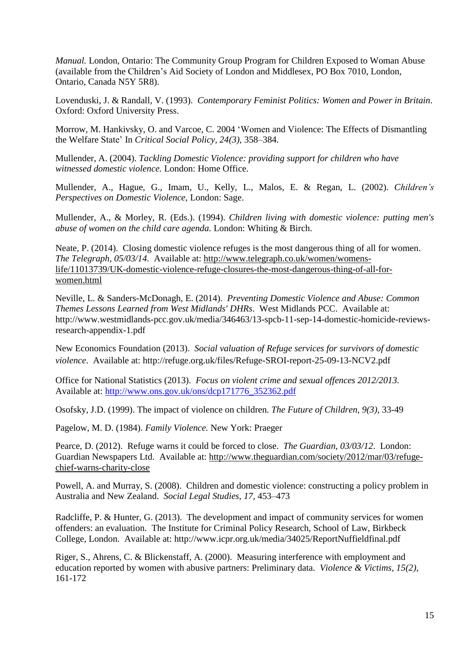*Manual.* London, Ontario: The Community Group Program for Children Exposed to Woman Abuse (available from the Children's Aid Society of London and Middlesex, PO Box 7010, London, Ontario, Canada N5Y 5R8).

Lovenduski, J. & Randall, V. (1993). *Contemporary Feminist Politics: Women and Power in Britain*. Oxford: Oxford University Press.

Morrow, M. Hankivsky, O. and Varcoe, C. 2004 'Women and Violence: The Effects of Dismantling the Welfare State' In *Critical Social Policy, 24(3),* 358–384.

Mullender, A. (2004). *Tackling Domestic Violence: providing support for children who have witnessed domestic violence.* London: Home Office.

Mullender, A., Hague, G., Imam, U., Kelly, L., Malos, E. & Regan, L. (2002). *Children's Perspectives on Domestic Violence*, London: Sage.

Mullender, A., & Morley, R. (Eds.). (1994). *Children living with domestic violence: putting men's abuse of women on the child care agenda.* London: Whiting & Birch.

Neate, P. (2014). Closing domestic violence refuges is the most dangerous thing of all for women. *The Telegraph, 05/03/14.* Available at: [http://www.telegraph.co.uk/women/womens](http://www.telegraph.co.uk/women/womens-life/11013739/UK-domestic-violence-refuge-closures-the-most-dangerous-thing-of-all-for-women.html)[life/11013739/UK-domestic-violence-refuge-closures-the-most-dangerous-thing-of-all-for](http://www.telegraph.co.uk/women/womens-life/11013739/UK-domestic-violence-refuge-closures-the-most-dangerous-thing-of-all-for-women.html)[women.html](http://www.telegraph.co.uk/women/womens-life/11013739/UK-domestic-violence-refuge-closures-the-most-dangerous-thing-of-all-for-women.html)

Neville, L. & Sanders-McDonagh, E. (2014). *Preventing Domestic Violence and Abuse: Common Themes Lessons Learned from West Midlands' DHRs*. West Midlands PCC. Available at: http://www.westmidlands-pcc.gov.uk/media/346463/13-spcb-11-sep-14-domestic-homicide-reviewsresearch-appendix-1.pdf

New Economics Foundation (2013). *Social valuation of Refuge services for survivors of domestic violence*. Available at: http://refuge.org.uk/files/Refuge-SROI-report-25-09-13-NCV2.pdf

Office for National Statistics (2013). *Focus on violent crime and sexual offences 2012/2013.* Available at: [http://www.ons.gov.uk/ons/dcp171776\\_352362.pdf](http://www.ons.gov.uk/ons/dcp171776_352362.pdf)

Osofsky, J.D. (1999). The impact of violence on children. *The Future of Children, 9(3),* 33-49

Pagelow, M. D. (1984). *Family Violence.* New York: Praeger

Pearce, D. (2012). Refuge warns it could be forced to close. *The Guardian, 03/03/12*. London: Guardian Newspapers Ltd. Available at: [http://www.theguardian.com/society/2012/mar/03/refuge](http://www.theguardian.com/society/2012/mar/03/refuge-chief-warns-charity-close)[chief-warns-charity-close](http://www.theguardian.com/society/2012/mar/03/refuge-chief-warns-charity-close)

Powell, A. and Murray, S. (2008). Children and domestic violence: constructing a policy problem in Australia and New Zealand. *Social Legal Studies, 17,* 453–473

Radcliffe, P. & Hunter, G. (2013). The development and impact of community services for women offenders: an evaluation. The Institute for Criminal Policy Research, School of Law, Birkbeck College, London. Available at: http://www.icpr.org.uk/media/34025/ReportNuffieldfinal.pdf

Riger, S., Ahrens, C. & Blickenstaff, A. (2000). Measuring interference with employment and education reported by women with abusive partners: Preliminary data. *Violence & Victims, 15(2),* 161-172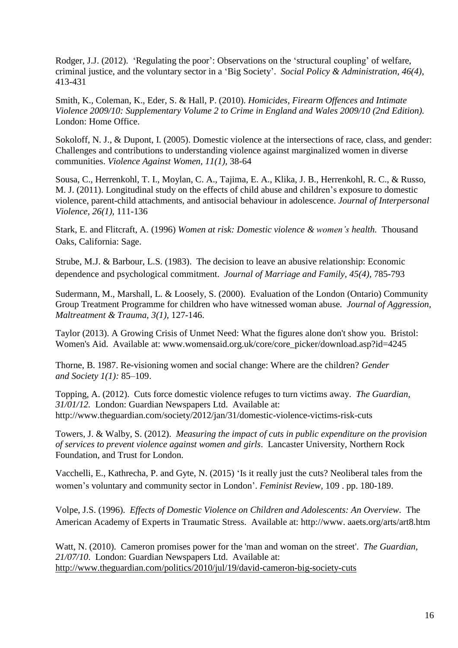Rodger, J.J. (2012). 'Regulating the poor': Observations on the 'structural coupling' of welfare, criminal justice, and the voluntary sector in a 'Big Society'. *Social Policy & Administration, 46(4)*, 413-431

Smith, K., Coleman, K., Eder, S. & Hall, P. (2010). *Homicides, Firearm Offences and Intimate Violence 2009/10: Supplementary Volume 2 to Crime in England and Wales 2009/10 (2nd Edition).* London: Home Office.

Sokoloff, N. J., & Dupont, I. (2005). Domestic violence at the intersections of race, class, and gender: Challenges and contributions to understanding violence against marginalized women in diverse communities. *Violence Against Women, 11(1),* 38-64

Sousa, C., Herrenkohl, T. I., Moylan, C. A., Tajima, E. A., Klika, J. B., Herrenkohl, R. C., & Russo, M. J. (2011). Longitudinal study on the effects of child abuse and children's exposure to domestic violence, parent-child attachments, and antisocial behaviour in adolescence. *Journal of Interpersonal Violence, 26(1),* 111-136

Stark, E. and Flitcraft, A. (1996) *Women at risk: Domestic violence & women's health.* Thousand Oaks, California: Sage.

Strube, M.J. & Barbour, L.S. (1983). The decision to leave an abusive relationship: Economic dependence and psychological commitment. *Journal of Marriage and Family, 45(4),* 785-793

Sudermann, M., Marshall, L. & Loosely, S. (2000). Evaluation of the London (Ontario) Community Group Treatment Programme for children who have witnessed woman abuse*. Journal of Aggression, Maltreatment & Trauma, 3(1),* 127-146.

Taylor (2013). A Growing Crisis of Unmet Need: What the figures alone don't show you. Bristol: Women's Aid. Available at: www.womensaid.org.uk/core/core\_picker/download.asp?id=4245

Thorne, B. 1987. Re-visioning women and social change: Where are the children? *Gender and Society 1(1):* 85–109.

Topping, A. (2012). Cuts force domestic violence refuges to turn victims away. *The Guardian, 31/01/12.* London: Guardian Newspapers Ltd. Available at: http://www.theguardian.com/society/2012/jan/31/domestic-violence-victims-risk-cuts

Towers, J. & Walby, S. (2012). *Measuring the impact of cuts in public expenditure on the provision of services to prevent violence against women and girls*. Lancaster University, Northern Rock Foundation, and Trust for London.

Vacchelli, E., Kathrecha, P. and Gyte, N. (2015) 'Is it really just the cuts? Neoliberal tales from the women's voluntary and community sector in London'. *Feminist Review,* 109 . pp. 180-189.

Volpe, J.S. (1996). *Effects of Domestic Violence on Children and Adolescents: An Overview*. The American Academy of Experts in Traumatic Stress. Available at: http://www. aaets.org/arts/art8.htm

Watt, N. (2010). Cameron promises power for the 'man and woman on the street'. *The Guardian, 21/07/10*. London: Guardian Newspapers Ltd. Available at: <http://www.theguardian.com/politics/2010/jul/19/david-cameron-big-society-cuts>